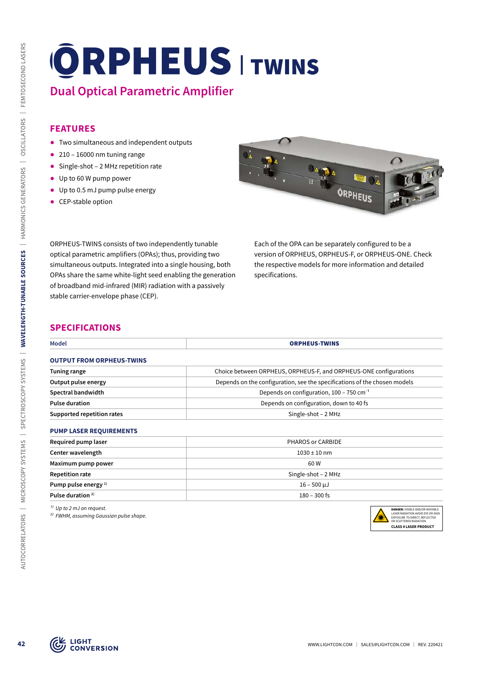# **Dual Optical Parametric Amplifier**

#### **FEATURES**

- ᰋ Two simultaneous and independent outputs
- $\bullet$  210 16000 nm tuning range
- Single-shot 2 MHz repetition rate
- ᰋ Up to 60 W pump power
- Up to 0.5 mJ pump pulse energy
- CEP-stable option



### **SPECIFICATIONS**

| <b>FEATURES</b><br>Two simultaneous and independent outputs<br>$\bullet$ 210 - 16000 nm tuning range                                                                                                                                                                                                                                                   |                                                                           |                                                                                                                                                                         |  |
|--------------------------------------------------------------------------------------------------------------------------------------------------------------------------------------------------------------------------------------------------------------------------------------------------------------------------------------------------------|---------------------------------------------------------------------------|-------------------------------------------------------------------------------------------------------------------------------------------------------------------------|--|
| Single-shot - 2 MHz repetition rate<br>Up to 60 W pump power<br>$\bullet$<br>• Up to 0.5 mJ pump pulse energy<br>• CEP-stable option                                                                                                                                                                                                                   |                                                                           | ORPHEUS                                                                                                                                                                 |  |
| ORPHEUS-TWINS consists of two independently tunable<br>optical parametric amplifiers (OPAs); thus, providing two<br>simultaneous outputs. Integrated into a single housing, both<br>OPAs share the same white-light seed enabling the generation<br>of broadband mid-infrared (MIR) radiation with a passively<br>stable carrier-envelope phase (CEP). | specifications.                                                           | Each of the OPA can be separately configured to be a<br>version of ORPHEUS, ORPHEUS-F, or ORPHEUS-ONE. Check<br>the respective models for more information and detailed |  |
| <b>SPECIFICATIONS</b><br><b>Model</b>                                                                                                                                                                                                                                                                                                                  | <b>ORPHEUS-TWINS</b>                                                      |                                                                                                                                                                         |  |
| <b>OUTPUT FROM ORPHEUS-TWINS</b>                                                                                                                                                                                                                                                                                                                       |                                                                           |                                                                                                                                                                         |  |
| <b>Tuning range</b>                                                                                                                                                                                                                                                                                                                                    | Choice between ORPHEUS, ORPHEUS-F, and ORPHEUS-ONE configurations         |                                                                                                                                                                         |  |
| Output pulse energy                                                                                                                                                                                                                                                                                                                                    | Depends on the configuration, see the specifications of the chosen models |                                                                                                                                                                         |  |
| Spectral bandwidth                                                                                                                                                                                                                                                                                                                                     | Depends on configuration, 100 - 750 cm <sup>-1</sup>                      |                                                                                                                                                                         |  |
| <b>Pulse duration</b>                                                                                                                                                                                                                                                                                                                                  | Depends on configuration, down to 40 fs                                   |                                                                                                                                                                         |  |
| Supported repetition rates                                                                                                                                                                                                                                                                                                                             | Single-shot - 2 MHz                                                       |                                                                                                                                                                         |  |
|                                                                                                                                                                                                                                                                                                                                                        |                                                                           |                                                                                                                                                                         |  |
| <b>PUMP LASER REQUIREMENTS</b>                                                                                                                                                                                                                                                                                                                         |                                                                           | PHAROS or CARBIDE                                                                                                                                                       |  |
| Required pump laser                                                                                                                                                                                                                                                                                                                                    |                                                                           |                                                                                                                                                                         |  |
| Center wavelength                                                                                                                                                                                                                                                                                                                                      | $1030 \pm 10$ nm                                                          |                                                                                                                                                                         |  |
| Maximum pump power                                                                                                                                                                                                                                                                                                                                     | 60W                                                                       |                                                                                                                                                                         |  |
| Repetition rate                                                                                                                                                                                                                                                                                                                                        | Single-shot $-2$ MHz                                                      |                                                                                                                                                                         |  |
| Pump pulse energy <sup>1)</sup><br>Pulse duration <sup>2)</sup>                                                                                                                                                                                                                                                                                        | $16 - 500 \mu J$<br>$180 - 300$ fs                                        |                                                                                                                                                                         |  |

| <b>INCONTICA DAILIP 19961</b>   | וועותטיוט שני האיוו |  |
|---------------------------------|---------------------|--|
| Center wavelength               | $1030 \pm 10$ nm    |  |
| Maximum pump power              | 60 W                |  |
| <b>Repetition rate</b>          | Single-shot – 2 MHz |  |
| Pump pulse energy <sup>1)</sup> | 16 – 500 µJ         |  |
| Pulse duration <sup>2)</sup>    | $180 - 300$ fs      |  |